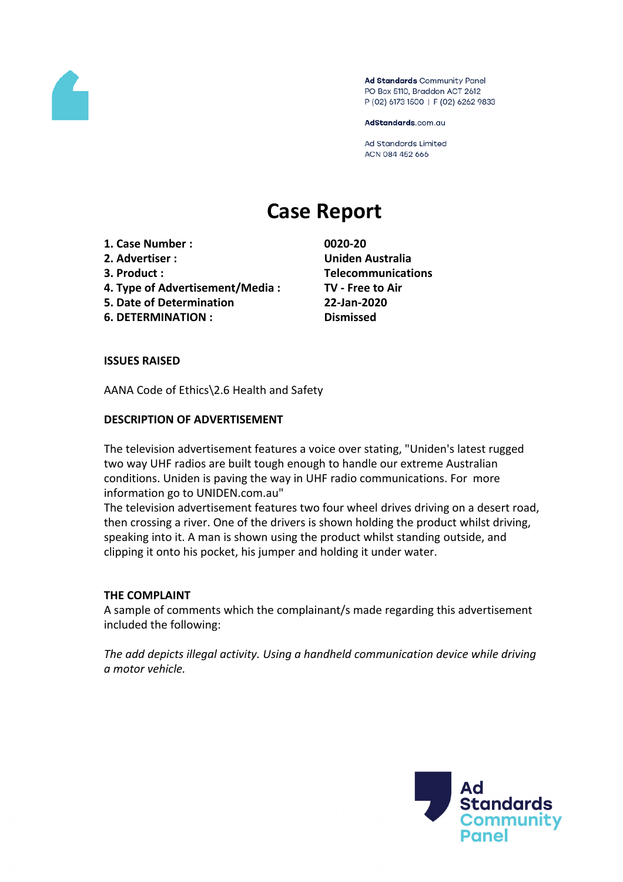

Ad Standards Community Panel PO Box 5110, Braddon ACT 2612 P (02) 6173 1500 | F (02) 6262 9833

AdStandards.com.au

**Ad Standards Limited** ACN 084 452 666

# **Case Report**

- **1. Case Number : 0020-20**
- 
- 
- **4. Type of Advertisement/Media : TV - Free to Air**
- **5. Date of Determination 22-Jan-2020**
- **6. DETERMINATION : Dismissed**

**2. Advertiser : Uniden Australia 3. Product : Telecommunications**

# **ISSUES RAISED**

AANA Code of Ethics\2.6 Health and Safety

# **DESCRIPTION OF ADVERTISEMENT**

The television advertisement features a voice over stating, "Uniden's latest rugged two way UHF radios are built tough enough to handle our extreme Australian conditions. Uniden is paving the way in UHF radio communications. For more information go to UNIDEN.com.au"

The television advertisement features two four wheel drives driving on a desert road, then crossing a river. One of the drivers is shown holding the product whilst driving, speaking into it. A man is shown using the product whilst standing outside, and clipping it onto his pocket, his jumper and holding it under water.

# **THE COMPLAINT**

A sample of comments which the complainant/s made regarding this advertisement included the following:

*The add depicts illegal activity. Using a handheld communication device while driving a motor vehicle.*

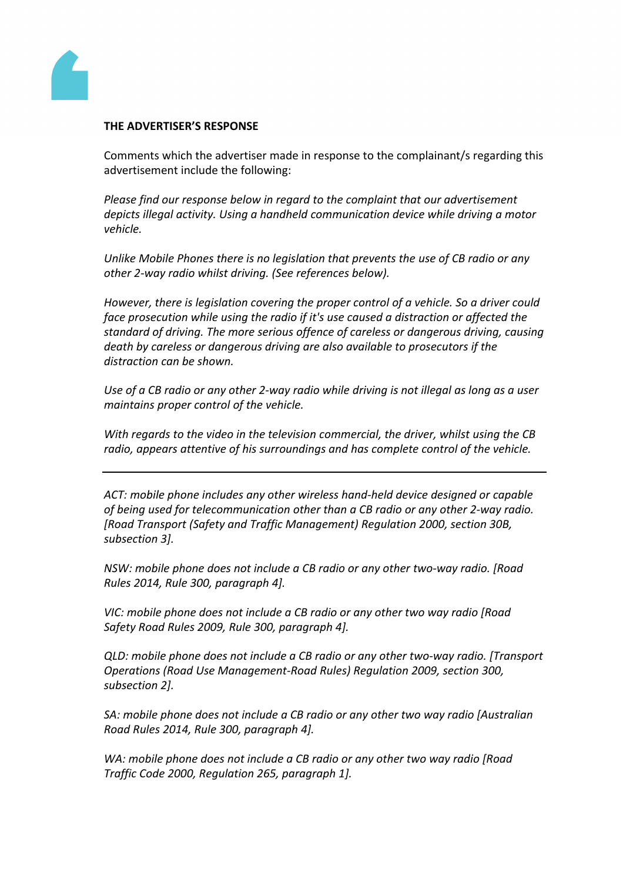

#### **THE ADVERTISER'S RESPONSE**

Comments which the advertiser made in response to the complainant/s regarding this advertisement include the following:

*Please find our response below in regard to the complaint that our advertisement depicts illegal activity. Using a handheld communication device while driving a motor vehicle.*

*Unlike Mobile Phones there is no legislation that prevents the use of CB radio or any other 2-way radio whilst driving. (See references below).*

*However, there is legislation covering the proper control of a vehicle. So a driver could face prosecution while using the radio if it's use caused a distraction or affected the standard of driving. The more serious offence of careless or dangerous driving, causing death by careless or dangerous driving are also available to prosecutors if the distraction can be shown.*

Use of a CB radio or any other 2-way radio while driving is not illegal as long as a user *maintains proper control of the vehicle.*

*With regards to the video in the television commercial, the driver, whilst using the CB radio, appears attentive of his surroundings and has complete control of the vehicle.*

*ACT: mobile phone includes any other wireless hand-held device designed or capable of being used for telecommunication other than a CB radio or any other 2-way radio. [Road Transport (Safety and Traffic Management) Regulation 2000, section 30B, subsection 3].*

*NSW: mobile phone does not include a CB radio or any other two-way radio. [Road Rules 2014, Rule 300, paragraph 4].*

*VIC: mobile phone does not include a CB radio or any other two way radio [Road Safety Road Rules 2009, Rule 300, paragraph 4].*

*QLD: mobile phone does not include a CB radio or any other two-way radio. [Transport Operations (Road Use Management-Road Rules) Regulation 2009, section 300, subsection 2].*

*SA: mobile phone does not include a CB radio or any other two way radio [Australian Road Rules 2014, Rule 300, paragraph 4].*

*WA: mobile phone does not include a CB radio or any other two way radio [Road Traffic Code 2000, Regulation 265, paragraph 1].*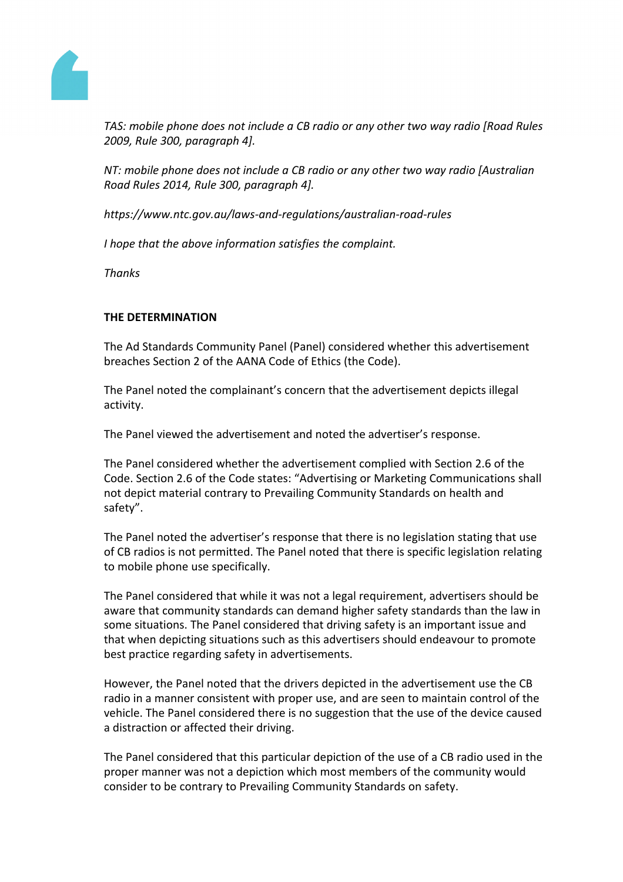

*TAS: mobile phone does not include a CB radio or any other two way radio [Road Rules 2009, Rule 300, paragraph 4].*

*NT: mobile phone does not include a CB radio or any other two way radio [Australian Road Rules 2014, Rule 300, paragraph 4].*

*https://www.ntc.gov.au/laws-and-regulations/australian-road-rules* 

*I hope that the above information satisfies the complaint.*

*Thanks*

# **THE DETERMINATION**

The Ad Standards Community Panel (Panel) considered whether this advertisement breaches Section 2 of the AANA Code of Ethics (the Code).

The Panel noted the complainant's concern that the advertisement depicts illegal activity.

The Panel viewed the advertisement and noted the advertiser's response.

The Panel considered whether the advertisement complied with Section 2.6 of the Code. Section 2.6 of the Code states: "Advertising or Marketing Communications shall not depict material contrary to Prevailing Community Standards on health and safety".

The Panel noted the advertiser's response that there is no legislation stating that use of CB radios is not permitted. The Panel noted that there is specific legislation relating to mobile phone use specifically.

The Panel considered that while it was not a legal requirement, advertisers should be aware that community standards can demand higher safety standards than the law in some situations. The Panel considered that driving safety is an important issue and that when depicting situations such as this advertisers should endeavour to promote best practice regarding safety in advertisements.

However, the Panel noted that the drivers depicted in the advertisement use the CB radio in a manner consistent with proper use, and are seen to maintain control of the vehicle. The Panel considered there is no suggestion that the use of the device caused a distraction or affected their driving.

The Panel considered that this particular depiction of the use of a CB radio used in the proper manner was not a depiction which most members of the community would consider to be contrary to Prevailing Community Standards on safety.